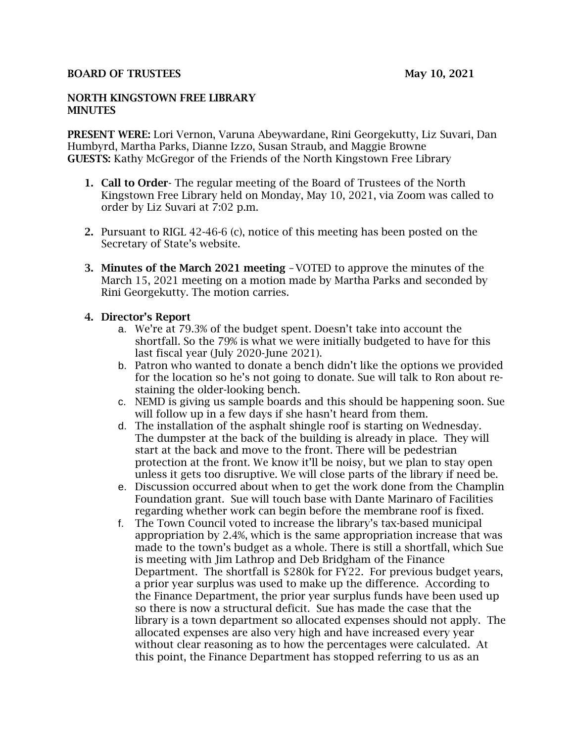### BOARD OF TRUSTEES May 10, 2021

#### NORTH KINGSTOWN FREE LIBRARY **MINUTES**

PRESENT WERE: Lori Vernon, Varuna Abeywardane, Rini Georgekutty, Liz Suvari, Dan Humbyrd, Martha Parks, Dianne Izzo, Susan Straub, and Maggie Browne GUESTS: Kathy McGregor of the Friends of the North Kingstown Free Library

- 1. Call to Order- The regular meeting of the Board of Trustees of the North Kingstown Free Library held on Monday, May 10, 2021, via Zoom was called to order by Liz Suvari at 7:02 p.m.
- 2. Pursuant to RIGL 42-46-6 (c), notice of this meeting has been posted on the Secretary of State's website.
- 3. Minutes of the March 2021 meeting –VOTED to approve the minutes of the March 15, 2021 meeting on a motion made by Martha Parks and seconded by Rini Georgekutty. The motion carries.

### 4. Director's Report

- a. We're at 79.3% of the budget spent. Doesn't take into account the shortfall. So the 79% is what we were initially budgeted to have for this last fiscal year (July 2020-June 2021).
- b. Patron who wanted to donate a bench didn't like the options we provided for the location so he's not going to donate. Sue will talk to Ron about restaining the older-looking bench.
- c. NEMD is giving us sample boards and this should be happening soon. Sue will follow up in a few days if she hasn't heard from them.
- d. The installation of the asphalt shingle roof is starting on Wednesday. The dumpster at the back of the building is already in place. They will start at the back and move to the front. There will be pedestrian protection at the front. We know it'll be noisy, but we plan to stay open unless it gets too disruptive. We will close parts of the library if need be.
- e. Discussion occurred about when to get the work done from the Champlin Foundation grant. Sue will touch base with Dante Marinaro of Facilities regarding whether work can begin before the membrane roof is fixed.
- f. The Town Council voted to increase the library's tax-based municipal appropriation by 2.4%, which is the same appropriation increase that was made to the town's budget as a whole. There is still a shortfall, which Sue is meeting with Jim Lathrop and Deb Bridgham of the Finance Department. The shortfall is \$280k for FY22. For previous budget years, a prior year surplus was used to make up the difference. According to the Finance Department, the prior year surplus funds have been used up so there is now a structural deficit. Sue has made the case that the library is a town department so allocated expenses should not apply. The allocated expenses are also very high and have increased every year without clear reasoning as to how the percentages were calculated. At this point, the Finance Department has stopped referring to us as an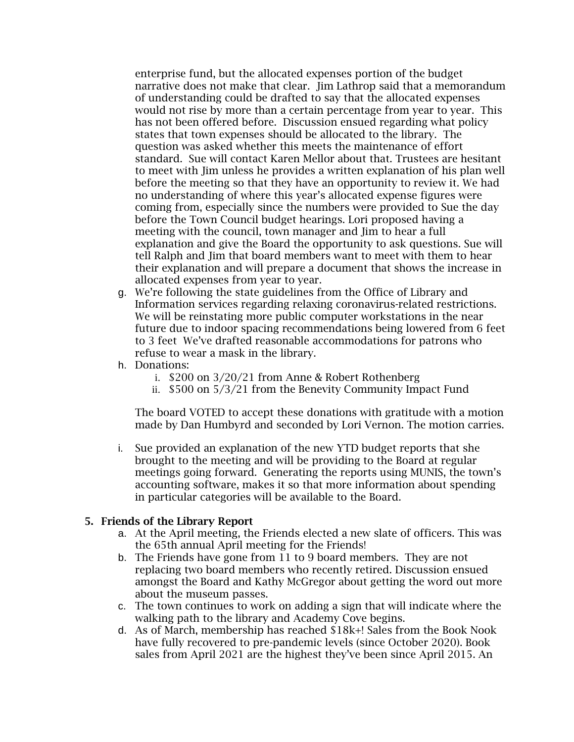enterprise fund, but the allocated expenses portion of the budget narrative does not make that clear. Jim Lathrop said that a memorandum of understanding could be drafted to say that the allocated expenses would not rise by more than a certain percentage from year to year. This has not been offered before. Discussion ensued regarding what policy states that town expenses should be allocated to the library. The question was asked whether this meets the maintenance of effort standard. Sue will contact Karen Mellor about that. Trustees are hesitant to meet with Jim unless he provides a written explanation of his plan well before the meeting so that they have an opportunity to review it. We had no understanding of where this year's allocated expense figures were coming from, especially since the numbers were provided to Sue the day before the Town Council budget hearings. Lori proposed having a meeting with the council, town manager and Jim to hear a full explanation and give the Board the opportunity to ask questions. Sue will tell Ralph and Jim that board members want to meet with them to hear their explanation and will prepare a document that shows the increase in allocated expenses from year to year.

- g. We're following the state guidelines from the Office of Library and Information services regarding relaxing coronavirus-related restrictions. We will be reinstating more public computer workstations in the near future due to indoor spacing recommendations being lowered from 6 feet to 3 feet We've drafted reasonable accommodations for patrons who refuse to wear a mask in the library.
- h. Donations:
	- i. \$200 on 3/20/21 from Anne & Robert Rothenberg
	- ii. \$500 on 5/3/21 from the Benevity Community Impact Fund

The board VOTED to accept these donations with gratitude with a motion made by Dan Humbyrd and seconded by Lori Vernon. The motion carries.

i. Sue provided an explanation of the new YTD budget reports that she brought to the meeting and will be providing to the Board at regular meetings going forward. Generating the reports using MUNIS, the town's accounting software, makes it so that more information about spending in particular categories will be available to the Board.

### 5. Friends of the Library Report

- a. At the April meeting, the Friends elected a new slate of officers. This was the 65th annual April meeting for the Friends!
- b. The Friends have gone from 11 to 9 board members. They are not replacing two board members who recently retired. Discussion ensued amongst the Board and Kathy McGregor about getting the word out more about the museum passes.
- c. The town continues to work on adding a sign that will indicate where the walking path to the library and Academy Cove begins.
- d. As of March, membership has reached \$18k+! Sales from the Book Nook have fully recovered to pre-pandemic levels (since October 2020). Book sales from April 2021 are the highest they've been since April 2015. An